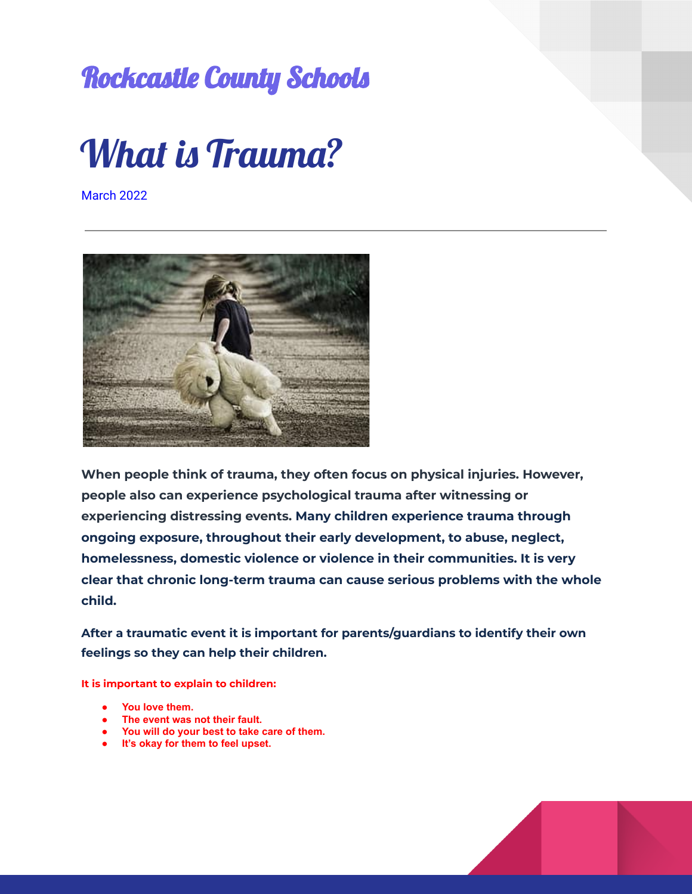## Rockcastle County Schools



March 2022



**When people think of trauma, they often focus on physical injuries. However, people also can experience psychological trauma after witnessing or experiencing distressing events. Many children experience trauma through ongoing exposure, throughout their early development, to abuse, neglect, homelessness, domestic violence or violence in their communities. It is very clear that chronic long-term trauma can cause serious problems with the whole child.**

**After a traumatic event it is important for parents/guardians to identify their own feelings so they can help their children.**

**It is important to explain to children:**

- **● You love them.**
- **● The event was not their fault.**
- **● You will do your best to take care of them.**
- **● It's okay for them to feel upset.**

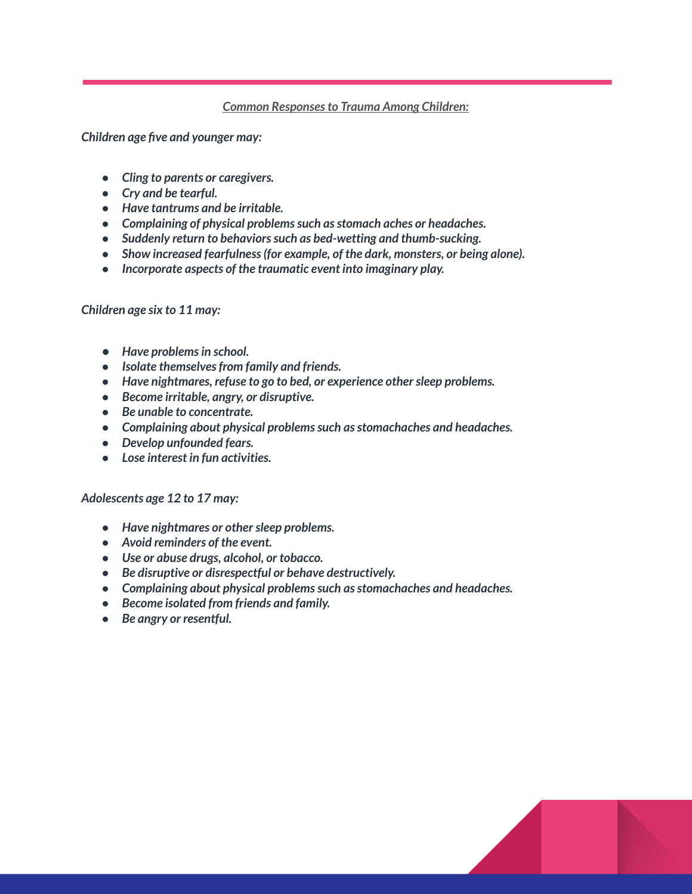## *Common Responsesto Trauma Among Children:*

*Children age five and younger may:*

- *● Cling to parents or caregivers.*
- *● Cry and be tearful.*
- *● Have tantrums and be irritable.*
- *● Complaining of physical problemssuch asstomach aches or headaches.*
- *● Suddenly return to behaviorssuch as bed-wetting and thumb-sucking.*
- *● Show increased fearfulness(for example, of the dark, monsters, or being alone).*
- *● Incorporate aspects of the traumatic event into imaginary play.*

## *Children age six to 11 may:*

- *● Have problemsin school.*
- *● Isolate themselvesfrom family and friends.*
- *● Have nightmares, refuse to go to bed, or experience othersleep problems.*
- *● Become irritable, angry, or disruptive.*
- *● Be unable to concentrate.*
- *● Complaining about physical problemssuch asstomachaches and headaches.*
- *● Develop unfounded fears.*
- *● Lose interest in fun activities.*

## *Adolescents age 12 to 17 may:*

- *● Have nightmares or othersleep problems.*
- *● Avoid reminders of the event.*
- *● Use or abuse drugs, alcohol, or tobacco.*
- *● Be disruptive or disrespectful or behave destructively.*
- *● Complaining about physical problemssuch asstomachaches and headaches.*
- *● Become isolated from friends and family.*
- *● Be angry or resentful.*